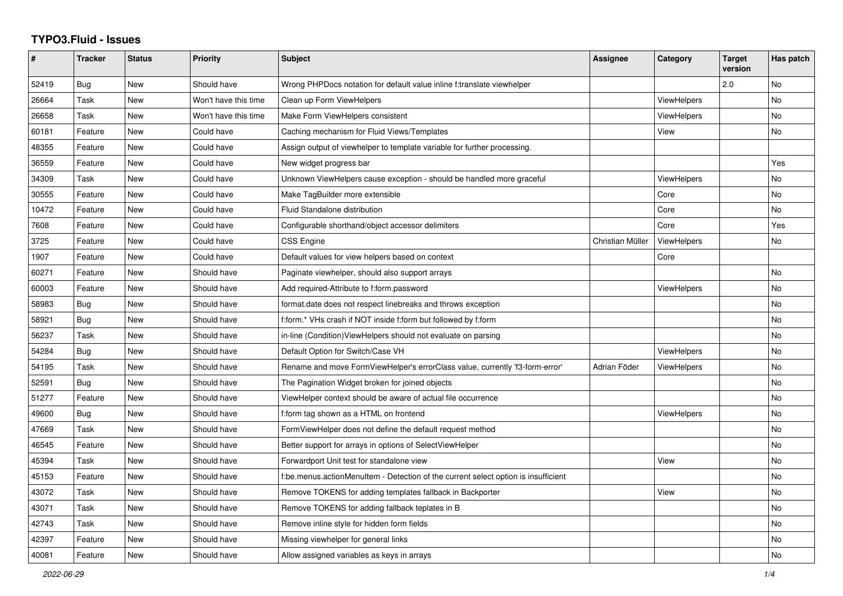## **TYPO3.Fluid - Issues**

| #     | Tracker | <b>Status</b> | <b>Priority</b>      | <b>Subject</b>                                                                     | <b>Assignee</b>  | Category           | <b>Target</b><br>version | Has patch |
|-------|---------|---------------|----------------------|------------------------------------------------------------------------------------|------------------|--------------------|--------------------------|-----------|
| 52419 | Bug     | New           | Should have          | Wrong PHPDocs notation for default value inline f:translate viewhelper             |                  |                    | 2.0                      | No        |
| 26664 | Task    | New           | Won't have this time | Clean up Form ViewHelpers                                                          |                  | <b>ViewHelpers</b> |                          | No        |
| 26658 | Task    | New           | Won't have this time | Make Form ViewHelpers consistent                                                   |                  | <b>ViewHelpers</b> |                          | No        |
| 60181 | Feature | New           | Could have           | Caching mechanism for Fluid Views/Templates                                        |                  | View               |                          | <b>No</b> |
| 48355 | Feature | New           | Could have           | Assign output of viewhelper to template variable for further processing.           |                  |                    |                          |           |
| 36559 | Feature | New           | Could have           | New widget progress bar                                                            |                  |                    |                          | Yes       |
| 34309 | Task    | <b>New</b>    | Could have           | Unknown ViewHelpers cause exception - should be handled more graceful              |                  | <b>ViewHelpers</b> |                          | <b>No</b> |
| 30555 | Feature | <b>New</b>    | Could have           | Make TagBuilder more extensible                                                    |                  | Core               |                          | <b>No</b> |
| 10472 | Feature | New           | Could have           | <b>Fluid Standalone distribution</b>                                               |                  | Core               |                          | <b>No</b> |
| 7608  | Feature | New           | Could have           | Configurable shorthand/object accessor delimiters                                  |                  | Core               |                          | Yes       |
| 3725  | Feature | New           | Could have           | <b>CSS Engine</b>                                                                  | Christian Müller | ViewHelpers        |                          | No        |
| 1907  | Feature | New           | Could have           | Default values for view helpers based on context                                   |                  | Core               |                          |           |
| 60271 | Feature | New           | Should have          | Paginate viewhelper, should also support arrays                                    |                  |                    |                          | No        |
| 60003 | Feature | New           | Should have          | Add required-Attribute to f:form.password                                          |                  | ViewHelpers        |                          | No        |
| 58983 | Bug     | New           | Should have          | format.date does not respect linebreaks and throws exception                       |                  |                    |                          | No        |
| 58921 | Bug     | New           | Should have          | f:form.* VHs crash if NOT inside f:form but followed by f:form                     |                  |                    |                          | No        |
| 56237 | Task    | New           | Should have          | in-line (Condition) View Helpers should not evaluate on parsing                    |                  |                    |                          | No        |
| 54284 | Bug     | <b>New</b>    | Should have          | Default Option for Switch/Case VH                                                  |                  | ViewHelpers        |                          | <b>No</b> |
| 54195 | Task    | <b>New</b>    | Should have          | Rename and move FormViewHelper's errorClass value, currently 'f3-form-error'       | Adrian Föder     | ViewHelpers        |                          | <b>No</b> |
| 52591 | Bug     | New           | Should have          | The Pagination Widget broken for joined objects                                    |                  |                    |                          | No        |
| 51277 | Feature | <b>New</b>    | Should have          | ViewHelper context should be aware of actual file occurrence                       |                  |                    |                          | No        |
| 49600 | Bug     | <b>New</b>    | Should have          | f:form tag shown as a HTML on frontend                                             |                  | <b>ViewHelpers</b> |                          | <b>No</b> |
| 47669 | Task    | New           | Should have          | FormViewHelper does not define the default request method                          |                  |                    |                          | No        |
| 46545 | Feature | <b>New</b>    | Should have          | Better support for arrays in options of SelectViewHelper                           |                  |                    |                          | No        |
| 45394 | Task    | New           | Should have          | Forwardport Unit test for standalone view                                          |                  | View               |                          | No        |
| 45153 | Feature | New           | Should have          | f:be.menus.actionMenuItem - Detection of the current select option is insufficient |                  |                    |                          | No        |
| 43072 | Task    | <b>New</b>    | Should have          | Remove TOKENS for adding templates fallback in Backporter                          |                  | View               |                          | No        |
| 43071 | Task    | New           | Should have          | Remove TOKENS for adding fallback teplates in B                                    |                  |                    |                          | No        |
| 42743 | Task    | New           | Should have          | Remove inline style for hidden form fields                                         |                  |                    |                          | No        |
| 42397 | Feature | <b>New</b>    | Should have          | Missing viewhelper for general links                                               |                  |                    |                          | <b>No</b> |
| 40081 | Feature | <b>New</b>    | Should have          | Allow assigned variables as keys in arrays                                         |                  |                    |                          | <b>No</b> |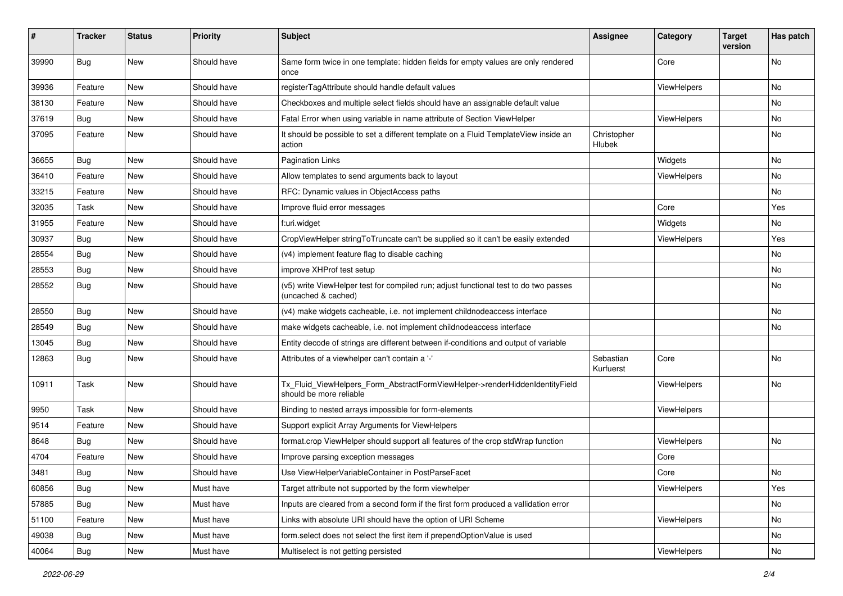| #     | <b>Tracker</b> | <b>Status</b> | <b>Priority</b> | Subject                                                                                                     | <b>Assignee</b>        | Category    | <b>Target</b><br>version | Has patch |
|-------|----------------|---------------|-----------------|-------------------------------------------------------------------------------------------------------------|------------------------|-------------|--------------------------|-----------|
| 39990 | Bug            | New           | Should have     | Same form twice in one template: hidden fields for empty values are only rendered<br>once                   |                        | Core        |                          | No        |
| 39936 | Feature        | New           | Should have     | registerTagAttribute should handle default values                                                           |                        | ViewHelpers |                          | No        |
| 38130 | Feature        | <b>New</b>    | Should have     | Checkboxes and multiple select fields should have an assignable default value                               |                        |             |                          | No        |
| 37619 | Bug            | New           | Should have     | Fatal Error when using variable in name attribute of Section ViewHelper                                     |                        | ViewHelpers |                          | No        |
| 37095 | Feature        | New           | Should have     | It should be possible to set a different template on a Fluid TemplateView inside an<br>action               | Christopher<br>Hlubek  |             |                          | No        |
| 36655 | Bug            | New           | Should have     | <b>Pagination Links</b>                                                                                     |                        | Widgets     |                          | No        |
| 36410 | Feature        | New           | Should have     | Allow templates to send arguments back to layout                                                            |                        | ViewHelpers |                          | No        |
| 33215 | Feature        | New           | Should have     | RFC: Dynamic values in ObjectAccess paths                                                                   |                        |             |                          | No        |
| 32035 | Task           | New           | Should have     | Improve fluid error messages                                                                                |                        | Core        |                          | Yes       |
| 31955 | Feature        | New           | Should have     | f:uri.widget                                                                                                |                        | Widgets     |                          | No        |
| 30937 | Bug            | New           | Should have     | CropViewHelper stringToTruncate can't be supplied so it can't be easily extended                            |                        | ViewHelpers |                          | Yes       |
| 28554 | Bug            | <b>New</b>    | Should have     | (v4) implement feature flag to disable caching                                                              |                        |             |                          | No        |
| 28553 | <b>Bug</b>     | New           | Should have     | improve XHProf test setup                                                                                   |                        |             |                          | No        |
| 28552 | <b>Bug</b>     | New           | Should have     | (v5) write ViewHelper test for compiled run; adjust functional test to do two passes<br>(uncached & cached) |                        |             |                          | No        |
| 28550 | Bug            | New           | Should have     | (v4) make widgets cacheable, i.e. not implement childnodeaccess interface                                   |                        |             |                          | No.       |
| 28549 | Bug            | New           | Should have     | make widgets cacheable, i.e. not implement childnodeaccess interface                                        |                        |             |                          | No        |
| 13045 | Bug            | New           | Should have     | Entity decode of strings are different between if-conditions and output of variable                         |                        |             |                          |           |
| 12863 | <b>Bug</b>     | New           | Should have     | Attributes of a viewhelper can't contain a '-'                                                              | Sebastian<br>Kurfuerst | Core        |                          | No        |
| 10911 | Task           | New           | Should have     | Tx_Fluid_ViewHelpers_Form_AbstractFormViewHelper->renderHiddenIdentityField<br>should be more reliable      |                        | ViewHelpers |                          | No        |
| 9950  | Task           | New           | Should have     | Binding to nested arrays impossible for form-elements                                                       |                        | ViewHelpers |                          |           |
| 9514  | Feature        | New           | Should have     | Support explicit Array Arguments for ViewHelpers                                                            |                        |             |                          |           |
| 8648  | <b>Bug</b>     | New           | Should have     | format.crop ViewHelper should support all features of the crop stdWrap function                             |                        | ViewHelpers |                          | No        |
| 4704  | Feature        | New           | Should have     | Improve parsing exception messages                                                                          |                        | Core        |                          |           |
| 3481  | <b>Bug</b>     | New           | Should have     | Use ViewHelperVariableContainer in PostParseFacet                                                           |                        | Core        |                          | No        |
| 60856 | <b>Bug</b>     | New           | Must have       | Target attribute not supported by the form viewhelper                                                       |                        | ViewHelpers |                          | Yes       |
| 57885 | Bug            | New           | Must have       | Inputs are cleared from a second form if the first form produced a vallidation error                        |                        |             |                          | No        |
| 51100 | Feature        | New           | Must have       | Links with absolute URI should have the option of URI Scheme                                                |                        | ViewHelpers |                          | No        |
| 49038 | <b>Bug</b>     | New           | Must have       | form.select does not select the first item if prependOptionValue is used                                    |                        |             |                          | No        |
| 40064 | Bug            | New           | Must have       | Multiselect is not getting persisted                                                                        |                        | ViewHelpers |                          | No        |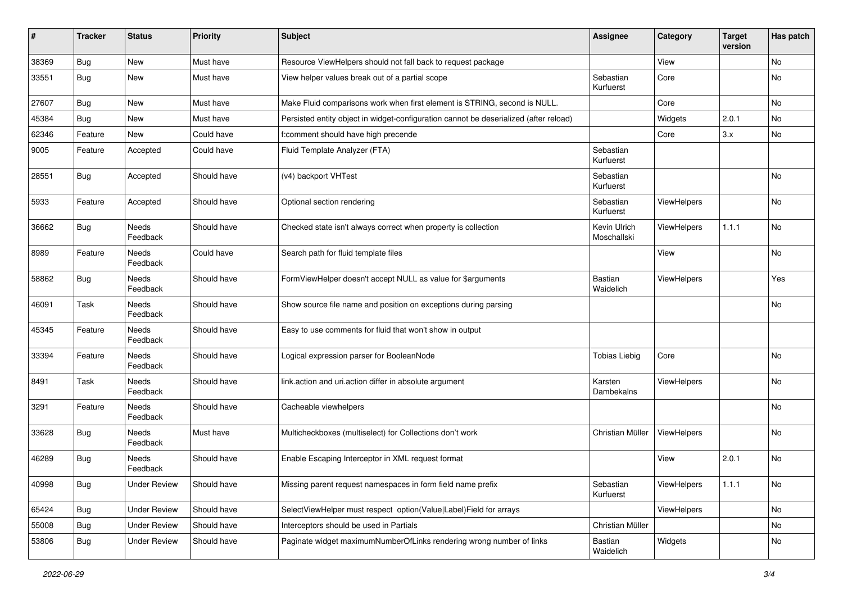| #     | <b>Tracker</b> | <b>Status</b>       | <b>Priority</b> | <b>Subject</b>                                                                        | <b>Assignee</b>             | Category    | <b>Target</b><br>version | Has patch |
|-------|----------------|---------------------|-----------------|---------------------------------------------------------------------------------------|-----------------------------|-------------|--------------------------|-----------|
| 38369 | Bug            | New                 | Must have       | Resource ViewHelpers should not fall back to request package                          |                             | View        |                          | No        |
| 33551 | Bug            | New                 | Must have       | View helper values break out of a partial scope                                       | Sebastian<br>Kurfuerst      | Core        |                          | No        |
| 27607 | <b>Bug</b>     | New                 | Must have       | Make Fluid comparisons work when first element is STRING, second is NULL.             |                             | Core        |                          | <b>No</b> |
| 45384 | Bug            | New                 | Must have       | Persisted entity object in widget-configuration cannot be deserialized (after reload) |                             | Widgets     | 2.0.1                    | No        |
| 62346 | Feature        | <b>New</b>          | Could have      | f:comment should have high precende                                                   |                             | Core        | 3.x                      | <b>No</b> |
| 9005  | Feature        | Accepted            | Could have      | Fluid Template Analyzer (FTA)                                                         | Sebastian<br>Kurfuerst      |             |                          |           |
| 28551 | <b>Bug</b>     | Accepted            | Should have     | (v4) backport VHTest                                                                  | Sebastian<br>Kurfuerst      |             |                          | No        |
| 5933  | Feature        | Accepted            | Should have     | Optional section rendering                                                            | Sebastian<br>Kurfuerst      | ViewHelpers |                          | No        |
| 36662 | Bug            | Needs<br>Feedback   | Should have     | Checked state isn't always correct when property is collection                        | Kevin Ulrich<br>Moschallski | ViewHelpers | 1.1.1                    | <b>No</b> |
| 8989  | Feature        | Needs<br>Feedback   | Could have      | Search path for fluid template files                                                  |                             | View        |                          | <b>No</b> |
| 58862 | Bug            | Needs<br>Feedback   | Should have     | FormViewHelper doesn't accept NULL as value for \$arguments                           | <b>Bastian</b><br>Waidelich | ViewHelpers |                          | Yes       |
| 46091 | Task           | Needs<br>Feedback   | Should have     | Show source file name and position on exceptions during parsing                       |                             |             |                          | No        |
| 45345 | Feature        | Needs<br>Feedback   | Should have     | Easy to use comments for fluid that won't show in output                              |                             |             |                          |           |
| 33394 | Feature        | Needs<br>Feedback   | Should have     | Logical expression parser for BooleanNode                                             | <b>Tobias Liebig</b>        | Core        |                          | No        |
| 8491  | Task           | Needs<br>Feedback   | Should have     | link.action and uri.action differ in absolute argument                                | Karsten<br>Dambekalns       | ViewHelpers |                          | No        |
| 3291  | Feature        | Needs<br>Feedback   | Should have     | Cacheable viewhelpers                                                                 |                             |             |                          | No        |
| 33628 | Bug            | Needs<br>Feedback   | Must have       | Multicheckboxes (multiselect) for Collections don't work                              | Christian Müller            | ViewHelpers |                          | No        |
| 46289 | Bug            | Needs<br>Feedback   | Should have     | Enable Escaping Interceptor in XML request format                                     |                             | View        | 2.0.1                    | No        |
| 40998 | <b>Bug</b>     | <b>Under Review</b> | Should have     | Missing parent request namespaces in form field name prefix                           | Sebastian<br>Kurfuerst      | ViewHelpers | 1.1.1                    | No        |
| 65424 | <b>Bug</b>     | <b>Under Review</b> | Should have     | SelectViewHelper must respect option(Value Label)Field for arrays                     |                             | ViewHelpers |                          | No        |
| 55008 | Bug            | <b>Under Review</b> | Should have     | Interceptors should be used in Partials                                               | Christian Müller            |             |                          | No        |
| 53806 | <b>Bug</b>     | <b>Under Review</b> | Should have     | Paginate widget maximumNumberOfLinks rendering wrong number of links                  | Bastian<br>Waidelich        | Widgets     |                          | No        |